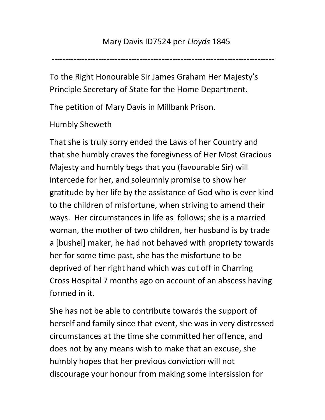---------------------------------------------------------------------------------

To the Right Honourable Sir James Graham Her Majesty's Principle Secretary of State for the Home Department.

The petition of Mary Davis in Millbank Prison.

Humbly Sheweth

That she is truly sorry ended the Laws of her Country and that she humbly craves the foregivness of Her Most Gracious Majesty and humbly begs that you (favourable Sir) will intercede for her, and soleumnly promise to show her gratitude by her life by the assistance of God who is ever kind to the children of misfortune, when striving to amend their ways. Her circumstances in life as follows; she is a married woman, the mother of two children, her husband is by trade a [bushel] maker, he had not behaved with propriety towards her for some time past, she has the misfortune to be deprived of her right hand which was cut off in Charring Cross Hospital 7 months ago on account of an abscess having formed in it.

She has not be able to contribute towards the support of herself and family since that event, she was in very distressed circumstances at the time she committed her offence, and does not by any means wish to make that an excuse, she humbly hopes that her previous conviction will not discourage your honour from making some intersission for